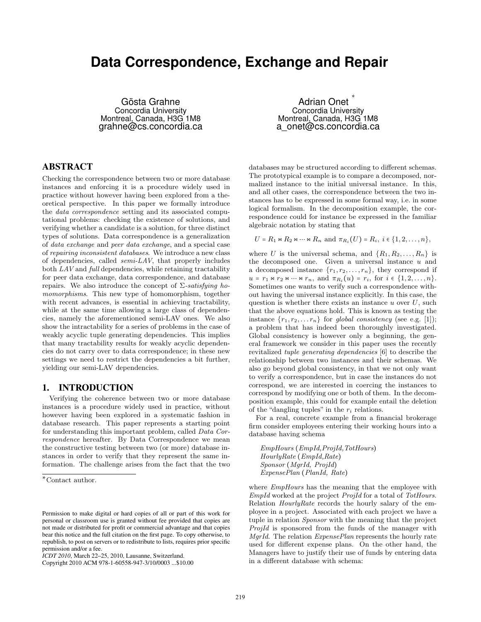# **Data Correspondence, Exchange and Repair**

Gösta Grahne Concordia University Montreal, Canada, H3G 1M8 grahne@cs.concordia.ca

Adrian Onet ∗ Concordia University Montreal, Canada, H3G 1M8 a\_onet@cs.concordia.ca

# ABSTRACT

Checking the correspondence between two or more database instances and enforcing it is a procedure widely used in practice without however having been explored from a theoretical perspective. In this paper we formally introduce the data correspondence setting and its associated computational problems: checking the existence of solutions, and verifying whether a candidate is a solution, for three distinct types of solutions. Data correspondence is a generalization of data exchange and peer data exchange, and a special case of repairing inconsistent databases. We introduce a new class of dependencies, called  $semi-LAV$ , that properly includes both LAV and full dependencies, while retaining tractability for peer data exchange, data correspondence, and database repairs. We also introduce the concept of  $\Sigma$ -satisfying homomorphisms. This new type of homomorphism, together with recent advances, is essential in achieving tractability, while at the same time allowing a large class of dependencies, namely the aforementioned semi-LAV ones. We also show the intractability for a series of problems in the case of weakly acyclic tuple generating dependencies. This implies that many tractability results for weakly acyclic dependencies do not carry over to data correspondence; in these new settings we need to restrict the dependencies a bit further, yielding our semi-LAV dependencies.

# 1. INTRODUCTION

Verifying the coherence between two or more database instances is a procedure widely used in practice, without however having been explored in a systematic fashion in database research. This paper represents a starting point for understanding this important problem, called Data Correspondence hereafter. By Data Correspondence we mean the constructive testing between two (or more) database instances in order to verify that they represent the same information. The challenge arises from the fact that the two

databases may be structured according to different schemas. The prototypical example is to compare a decomposed, normalized instance to the initial universal instance. In this, and all other cases, the correspondence between the two instances has to be expressed in some formal way, i.e. in some logical formalism. In the decomposition example, the correspondence could for instance be expressed in the familiar algebraic notation by stating that

$$
U = R_1 \bowtie R_2 \bowtie \cdots \bowtie R_n
$$
 and  $\pi_{R_i}(U) = R_i, i \in \{1, 2, ..., n\},$ 

where U is the universal schema, and  $\{R_1, R_2, \ldots, R_n\}$  is the decomposed one. Given a universal instance  $u$  and a decomposed instance  $\{r_1, r_2, \ldots, r_n\}$ , they correspond if  $u = r_1 \Join r_2 \Join \dots \Join r_n$ , and  $\pi_{R_i}(u) = r_i$ , for  $i \in \{1, 2, \dots, n\}$ . Sometimes one wants to verify such a correspondence without having the universal instance explicitly. In this case, the question is whether there exists an instance  $u$  over  $U$ , such that the above equations hold. This is known as testing the instance  $\{r_1, r_2, \ldots r_n\}$  for global consistency (see e.g. [1]); a problem that has indeed been thoroughly investigated. Global consistency is however only a beginning, the general framework we consider in this paper uses the recently revitalized tuple generating dependencies [6] to describe the relationship between two instances and their schemas. We also go beyond global consistency, in that we not only want to verify a correspondence, but in case the instances do not correspond, we are interested in coercing the instances to correspond by modifying one or both of them. In the decomposition example, this could for example entail the deletion of the "dangling tuples" in the  $r_i$  relations.

For a real, concrete example from a financial brokerage firm consider employees entering their working hours into a database having schema

EmpHours (EmpId,ProjId,TotHours) HourlyRate (EmpId,Rate) Sponsor (MgrId, ProjId) ExpensePlan (PlanId, Rate)

where  $EmpHouse$  has the meaning that the employee with EmpId worked at the project ProjId for a total of TotHours. Relation *HourlyRate* records the hourly salary of the employee in a project. Associated with each project we have a tuple in relation Sponsor with the meaning that the project ProjId is sponsored from the funds of the manager with MgrId. The relation *ExpensePlan* represents the hourly rate used for different expense plans. On the other hand, the Managers have to justify their use of funds by entering data in a different database with schema:

<sup>∗</sup>Contact author.

Permission to make digital or hard copies of all or part of this work for personal or classroom use is granted without fee provided that copies are not made or distributed for profit or commercial advantage and that copies bear this notice and the full citation on the first page. To copy otherwise, to republish, to post on servers or to redistribute to lists, requires prior specific permission and/or a fee.

*ICDT 2010*, March 22–25, 2010, Lausanne, Switzerland.

Copyright 2010 ACM 978-1-60558-947-3/10/0003 ...\$10.00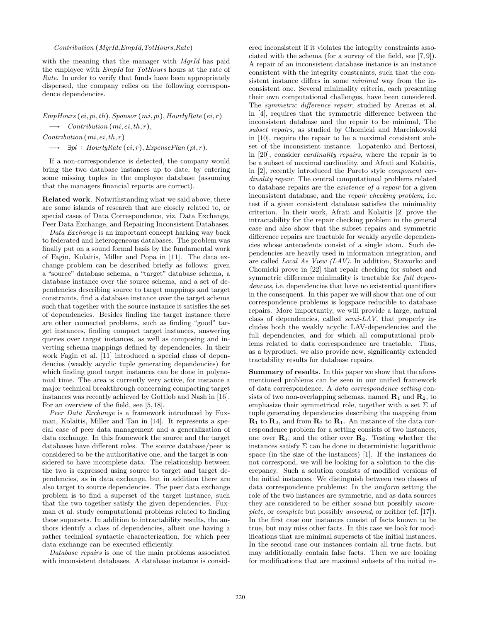#### Contribution (MgrId,EmpId,TotHours,Rate)

with the meaning that the manager with *MgrId* has paid the employee with EmpId for TotHours hours at the rate of Rate. In order to verify that funds have been appropriately dispersed, the company relies on the following correspondence dependencies.

# $EmpHouse (ei, pi, th), Sponsor (mi, pi), HourlyRate (ei, r)$  $\longrightarrow$  Contribution (mi, ei, th, r),  $Contribution (mi, ei, th, r)$

 $\longrightarrow \exists pl : \text{HourlyRate}(ei, r), \text{ExpensePlan}(pl, r).$ 

If a non-correspondence is detected, the company would bring the two database instances up to date, by entering some missing tuples in the employee database (assuming that the managers financial reports are correct).

Related work. Notwithstanding what we said above, there are some islands of research that are closely related to, or special cases of Data Correspondence, viz. Data Exchange, Peer Data Exchange, and Repairing Inconsistent Databases.

Data Exchange is an important concept harking way back to federated and heterogeneous databases. The problem was finally put on a sound formal basis by the fundamental work of Fagin, Kolaitis, Miller and Popa in [11]. The data exchange problem can be described briefly as follows: given a "source" database schema, a "target" database schema, a database instance over the source schema, and a set of dependencies describing source to target mappings and target constraints, find a database instance over the target schema such that together with the source instance it satisfies the set of dependencies. Besides finding the target instance there are other connected problems, such as finding "good" target instances, finding compact target instances, answering queries over target instances, as well as composing and inverting schema mappings defined by dependencies. In their work Fagin et al. [11] introduced a special class of dependencies (weakly acyclic tuple generating dependencies) for which finding good target instances can be done in polynomial time. The area is currently very active, for instance a major technical breakthrough concerning compacting target instances was recently achieved by Gottlob and Nash in [16]. For an overview of the field, see [5, 18].

Peer Data Exchange is a framework introduced by Fuxman, Kolaitis, Miller and Tan in [14]. It represents a special case of peer data management and a generalization of data exchange. In this framework the source and the target databases have different roles. The source database/peer is considered to be the authoritative one, and the target is considered to have incomplete data. The relationship between the two is expressed using source to target and target dependencies, as in data exchange, but in addition there are also target to source dependencies. The peer data exchange problem is to find a superset of the target instance, such that the two together satisfy the given dependencies. Fuxman et al. study computational problems related to finding these supersets. In addition to intractability results, the authors identify a class of dependencies, albeit one having a rather technical syntactic characterization, for which peer data exchange can be executed efficiently.

Database repairs is one of the main problems associated with inconsistent databases. A database instance is considered inconsistent if it violates the integrity constraints associated with the schema (for a survey of the field, see [7, 9]). A repair of an inconsistent database instance is an instance consistent with the integrity constraints, such that the consistent instance differs in some minimal way from the inconsistent one. Several minimality criteria, each presenting their own computational challenges, have been considered. The symmetric difference repair, studied by Arenas et al. in [4], requires that the symmetric difference between the inconsistent database and the repair to be minimal, The subset repairs, as studied by Chomicki and Marcinkowski in [10], require the repair to be a maximal consistent subset of the inconsistent instance. Lopatenko and Bertossi, in [20], consider cardinality repairs, where the repair is to be a subset of maximal cardinality, and Afrati and Kolaitis, in [2], recently introduced the Pareto style component cardinality repair. The central computational problems related to database repairs are the existence of a repair for a given inconsistent database, and the repair checking problem, i.e. test if a given consistent database satisfies the minimality criterion. In their work, Afrati and Kolaitis [2] prove the intractability for the repair checking problem in the general case and also show that the subset repairs and symmetric difference repairs are tractable for weakly acyclic dependencies whose antecedents consist of a single atom. Such dependencies are heavily used in information integration, and are called Local As View (LAV). In addition, Staworko and Chomicki prove in [22] that repair checking for subset and symmetric difference minimality is tractable for *full depen*dencies, i.e. dependencies that have no existential quantifiers in the consequent. In this paper we will show that one of our correspondence problems is logspace reducible to database repairs. More importantly, we will provide a large, natural class of dependencies, called semi-LAV, that properly includes both the weakly acyclic LAV-dependencies and the full dependencies, and for which all computational problems related to data correspondence are tractable. Thus, as a byproduct, we also provide new, significantly extended tractability results for database repairs.

Summary of results. In this paper we show that the aforementioned problems can be seen in our unified framework of data correspondence. A data correspondence setting consists of two non-overlapping schemas, named  $\mathbf{R}_1$  and  $\mathbf{R}_2$ , to emphasize their symmetrical role, together with a set  $\Sigma$  of tuple generating dependencies describing the mapping from  $\mathbf{R}_1$  to  $\mathbf{R}_2$ , and from  $\mathbf{R}_2$  to  $\mathbf{R}_1$ . An instance of the data correspondence problem for a setting consists of two instances, one over  $\mathbf{R}_1$ , and the other over  $\mathbf{R}_2$ . Testing whether the instances satisfy  $\Sigma$  can be done in deterministic logarithmic space (in the size of the instances) [1]. If the instances do not correspond, we will be looking for a solution to the discrepancy. Such a solution consists of modified versions of the initial instances. We distinguish between two classes of data correspondence problems: In the uniform setting the role of the two instances are symmetric, and as data sources they are considered to be either sound but possibly incomplete, or complete but possibly unsound, or neither (cf. [17]). In the first case our instances consist of facts known to be true, but may miss other facts. In this case we look for modifications that are minimal supersets of the initial instances. In the second case our instances contain all true facts, but may additionally contain false facts. Then we are looking for modifications that are maximal subsets of the initial in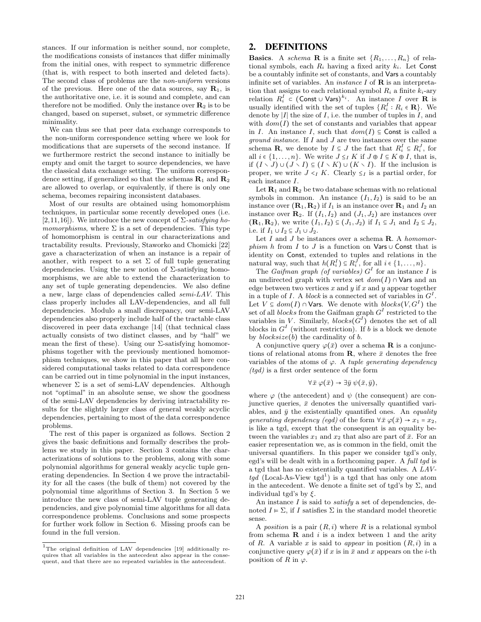stances. If our information is neither sound, nor complete, the modifications consists of instances that differ minimally from the initial ones, with respect to symmetric difference (that is, with respect to both inserted and deleted facts). The second class of problems are the non-uniform versions of the previous. Here one of the data sources, say  $\mathbf{R}_1$ , is the authoritative one, i.e. it is sound and complete, and can therefore not be modified. Only the instance over  $\mathbf{R}_2$  is to be changed, based on superset, subset, or symmetric difference minimality.

We can thus see that peer data exchange corresponds to the non-uniform correspondence setting where we look for modifications that are supersets of the second instance. If we furthermore restrict the second instance to initially be empty and omit the target to source dependencies, we have the classical data exchange setting. The uniform correspondence setting, if generalized so that the schemas  $\mathbf{R}_1$  and  $\mathbf{R}_2$ are allowed to overlap, or equivalently, if there is only one schema, becomes repairing inconsistent databases.

Most of our results are obtained using homomorphism techniques, in particular some recently developed ones (i.e. [2,11,16]). We introduce the new concept of  $\Sigma$ -satisfying homomorphisms, where  $\Sigma$  is a set of dependencies. This type of homomorphism is central in our characterizations and tractability results. Previously, Staworko and Chomicki [22] gave a characterization of when an instance is a repair of another, with respect to a set  $\Sigma$  of full tuple generating dependencies. Using the new notion of  $\Sigma$ -satisfying homomorphisms, we are able to extend the characterization to any set of tuple generating dependencies. We also define a new, large class of dependencies called semi-LAV. This class properly includes all LAV-dependencies, and all full dependencies. Modulo a small discrepancy, our semi-LAV dependencies also properly include half of the tractable class discovered in peer data exchange [14] (that technical class actually consists of two distinct classes, and by "half" we mean the first of these). Using our  $\Sigma$ -satisfying homomorphisms together with the previously mentioned homomorphism techniques, we show in this paper that all here considered computational tasks related to data correspondence can be carried out in time polynomial in the input instances, whenever  $\Sigma$  is a set of semi-LAV dependencies. Although not "optimal" in an absolute sense, we show the goodness of the semi-LAV dependencies by deriving intractability results for the slightly larger class of general weakly acyclic dependencies, pertaining to most of the data correspondence problems.

The rest of this paper is organized as follows. Section 2 gives the basic definitions and formally describes the problems we study in this paper. Section 3 contains the characterizations of solutions to the problems, along with some polynomial algorithms for general weakly acyclic tuple generating dependencies. In Section 4 we prove the intractability for all the cases (the bulk of them) not covered by the polynomial time algorithms of Section 3. In Section 5 we introduce the new class of semi-LAV tuple generating dependencies, and give polynomial time algorithms for all data correspondence problems. Conclusions and some prospects for further work follow in Section 6. Missing proofs can be found in the full version.

# 2. DEFINITIONS

**Basics**. A schema **R** is a finite set  $\{R_1, \ldots, R_n\}$  of relational symbols, each  $R_i$  having a fixed arity  $k_i$ . Let Const be a countably infinite set of constants, and Vars a countably infinite set of variables. An *instance I* of **R** is an interpretation that assigns to each relational symbol  $R_i$  a finite  $k_i$ -ary relation  $R_i^I$   $\subset$  (Const ∪ Vars)<sup> $k_i$ </sup>. An instance I over **R** is usually identified with the set of tuples  $\{R_i^I : R_i \in \mathbf{R}\}\$ . We denote by  $|I|$  the size of I, i.e. the number of tuples in I, and with  $dom(I)$  the set of constants and variables that appear in I. An instance I, such that  $dom(I) \subseteq$  Const is called a ground instance. If I and J are two instances over the same schema **R**, we denote by  $I \subseteq J$  the fact that  $R_i^I \subseteq R_i^J$ , for all  $i \in \{1, \ldots, n\}$ . We write  $J \leq_I K$  if  $J \oplus I \subseteq K \oplus I$ , that is, if  $(I \setminus J) \cup (J \setminus I) \subseteq (I \setminus K) \cup (K \setminus I)$ . If the inclusion is proper, we write  $J \leq I$  K. Clearly  $\leq I$  is a partial order, for each instance I.

Let  $\mathbf{R}_1$  and  $\mathbf{R}_2$  be two database schemas with no relational symbols in common. An instance  $(I_1, I_2)$  is said to be an instance over  $(\mathbf{R}_1, \mathbf{R}_2)$  if  $I_1$  is an instance over  $\mathbf{R}_1$  and  $I_2$  an instance over  $\mathbf{R}_2$ . If  $(I_1, I_2)$  and  $(J_1, J_2)$  are instances over  $(\mathbf{R}_1, \mathbf{R}_2)$ , we write  $(I_1, I_2) \subseteq (J_1, J_2)$  if  $I_1 \subseteq J_1$  and  $I_2 \subseteq J_2$ , i.e. if  $I_1 \cup I_2 \subseteq J_1 \cup J_2$ .

Let  $I$  and  $J$  be instances over a schema  $\bf R$ . A homomor*phism h* from *I* to *J* is a function on Vars ∪ Const that is identity on Const, extended to tuples and relations in the natural way, such that  $h(R_i^I) \subseteq R_i^J$ , for all  $i \in \{1, ..., n\}$ .

The Gaifman graph (of variables)  $G<sup>I</sup>$  for an instance I is an undirected graph with vertex set  $dom(I) \cap V$ ars and an edge between two vertices  $x$  and  $y$  if  $x$  and  $y$  appear together in a tuple of I. A block is a connected set of variables in  $G<sup>I</sup>$ . Let  $V \subseteq dom(I) \cap \text{Vars}$ . We denote with  $blocks(V, G^I)$  the set of all *blocks* from the Gaifman graph  $G<sup>I</sup>$  restricted to the variables in V. Similarly,  $blocks(G^I)$  denotes the set of all blocks in  $G<sup>I</sup>$  (without restriction). If b is a block we denote by  $blocksize(b)$  the cardinality of b.

A conjunctive query  $\varphi(\bar{x})$  over a schema **R** is a conjunctions of relational atoms from **R**, where  $\bar{x}$  denotes the free variables of the atoms of  $\varphi$ . A *tuple generating dependency*  $(tgd)$  is a first order sentence of the form

$$
\forall \bar{x} \ \varphi(\bar{x}) \rightarrow \exists \bar{y} \ \psi(\bar{x}, \bar{y}),
$$

where  $\varphi$  (the antecedent) and  $\psi$  (the consequent) are conjunctive queries,  $\bar{x}$  denotes the universally quantified variables, and  $\bar{y}$  the existentially quantified ones. An *equality* generating dependency (egd) of the form  $\forall \bar{x} \varphi(\bar{x}) \rightarrow x_1 = x_2$ , is like a tgd, except that the consequent is an equality between the variables  $x_1$  and  $x_2$  that also are part of  $\bar{x}$ . For an easier representation we, as is common in the field, omit the universal quantifiers. In this paper we consider tgd's only, egd's will be dealt with in a forthcoming paper. A full tgd is a tgd that has no existentially quantified variables. A LAV $tgd$  (Local-As-View tgd<sup>1</sup>) is a tgd that has only one atom in the antecedent. We denote a finite set of tgd's by  $\Sigma,$  and individual tgd's by  $\xi$ .

An instance  $I$  is said to *satisfy* a set of dependencies, denoted  $I \models \Sigma$ , if I satisfies  $\Sigma$  in the standard model theoretic sense.

A position is a pair  $(R, i)$  where R is a relational symbol from schema  $\bf{R}$  and i is a index between 1 and the arity of R. A variable x is said to appear in position  $(R, i)$  in a conjunctive query  $\varphi(\bar{x})$  if x is in  $\bar{x}$  and x appears on the i-th position of R in  $\varphi$ .

 $1$ The original definition of LAV dependencies [19] additionally requires that all variables in the antecedent also appear in the consequent, and that there are no repeated variables in the antecendent.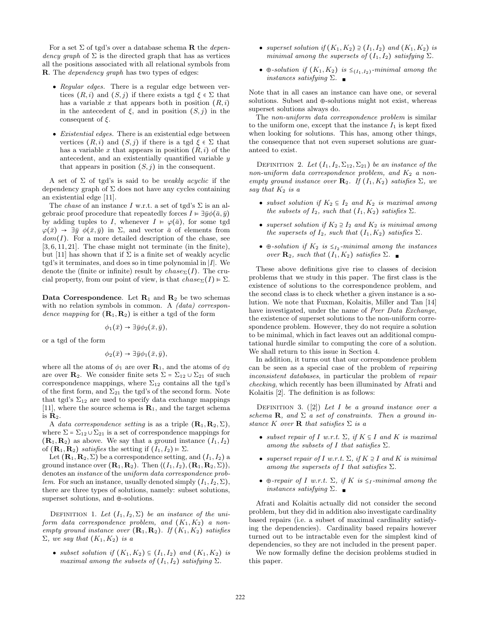For a set  $\Sigma$  of tgd's over a database schema **R** the *depen*dency graph of  $\Sigma$  is the directed graph that has as vertices all the positions associated with all relational symbols from R. The dependency graph has two types of edges:

- Regular edges. There is a regular edge between vertices  $(R, i)$  and  $(S, j)$  if there exists a tgd  $\xi \in \Sigma$  that has a variable x that appears both in position  $(R, i)$ in the antecedent of  $\xi$ , and in position  $(S, j)$  in the consequent of  $\xi$ .
- Existential edges. There is an existential edge between vertices  $(R, i)$  and  $(S, j)$  if there is a tgd  $\xi \in \Sigma$  that has a variable x that appears in position  $(R, i)$  of the antecedent, and an existentially quantified variable y that appears in position  $(S, j)$  in the consequent.

A set of  $\Sigma$  of tgd's is said to be *weakly acyclic* if the dependency graph of  $\Sigma$  does not have any cycles containing an existential edge [11].

The *chase* of an instance I w.r.t. a set of tgd's  $\Sigma$  is an algebraic proof procedure that repeatedly forces  $I \models \exists \bar{y}\phi(\bar{a}, \bar{y})$ by adding tuples to I, whenever  $I \vDash \varphi(\bar{a})$ , for some tgd  $\varphi(\bar{x}) \to \exists \bar{y} \phi(\bar{x}, \bar{y})$  in  $\Sigma$ , and vector  $\bar{a}$  of elements from  $dom(I)$ . For a more detailed description of the chase, see  $[3, 6, 11, 21]$ . The chase might not terminate (in the finite), but [11] has shown that if  $\Sigma$  is a finite set of weakly acyclic tgd's it terminates, and does so in time polynomial in ∣I∣. We denote the (finite or infinite) result by  $chase_{\Sigma}(I)$ . The crucial property, from our point of view, is that  $chase_{\Sigma}(I) \models \Sigma$ .

Data Correspondence. Let  $R_1$  and  $R_2$  be two schemas with no relation symbols in common. A *(data)* correspondence mapping for  $(\mathbf{R}_1, \mathbf{R}_2)$  is either a tgd of the form

$$
\phi_1(\bar{x}) \to \exists \bar{y} \phi_2(\bar{x}, \bar{y}),
$$

or a tgd of the form

$$
\phi_2(\bar{x}) \to \exists \bar{y} \phi_1(\bar{x}, \bar{y}),
$$

where all the atoms of  $\phi_1$  are over  $\mathbf{R}_1$ , and the atoms of  $\phi_2$ are over  $\mathbf{R}_2$ . We consider finite sets  $\Sigma = \Sigma_{12} \cup \Sigma_{21}$  of such correspondence mappings, where  $\Sigma_{12}$  contains all the tgd's of the first form, and  $\Sigma_{21}$  the tgd's of the second form. Note that tgd's  $\Sigma_{12}$  are used to specify data exchange mappings [11], where the source schema is  $\mathbf{R}_1$ , and the target schema is  $\mathbf{R}_2$ .

A data correspondence setting is as a triple  $(\mathbf{R}_1, \mathbf{R}_2, \Sigma)$ , where  $\Sigma = \Sigma_{12} \cup \Sigma_{21}$  is a set of correspondence mappings for  $(\mathbf{R}_1, \mathbf{R}_2)$  as above. We say that a ground instance  $(I_1, I_2)$ of  $(\mathbf{R}_1, \mathbf{R}_2)$  satisfies the setting if  $(I_1, I_2) \models \Sigma$ .

Let  $(\mathbf{R}_1, \mathbf{R}_2, \Sigma)$  be a correspondence setting, and  $(I_1, I_2)$  a ground instance over  $(\mathbf{R}_1, \mathbf{R}_2)$ . Then  $\langle (I_1, I_2), (\mathbf{R}_1, \mathbf{R}_2, \Sigma) \rangle$ , denotes an instance of the uniform data correspondence problem. For such an instance, usually denoted simply  $(I_1, I_2, \Sigma)$ , there are three types of solutions, namely: subset solutions, superset solutions, and ⊕-solutions.

DEFINITION 1. Let  $(I_1, I_2, \Sigma)$  be an instance of the uniform data correspondence problem, and  $(K_1, K_2)$  a nonempty ground instance over  $(\mathbf{R}_1, \mathbf{R}_2)$ . If  $(K_1, K_2)$  satisfies  $\Sigma$ , we say that  $(K_1, K_2)$  is a

• subset solution if  $(K_1, K_2) \subseteq (I_1, I_2)$  and  $(K_1, K_2)$  is maximal among the subsets of  $(I_1, I_2)$  satisfying  $\Sigma$ .

- superset solution if  $(K_1, K_2) \supseteq (I_1, I_2)$  and  $(K_1, K_2)$  is minimal among the supersets of  $(I_1, I_2)$  satisfying  $\Sigma$ .
- $\bullet \oplus$ -solution if  $(K_1, K_2)$  is  $\leq_{(I_1, I_2)}$ -minimal among the instances satisfying  $\Sigma$ . ■

Note that in all cases an instance can have one, or several solutions. Subset and ⊕-solutions might not exist, whereas superset solutions always do.

The non-uniform data correspondence problem is similar to the uniform one, except that the instance  $I_1$  is kept fixed when looking for solutions. This has, among other things, the consequence that not even superset solutions are guaranteed to exist.

DEFINITION 2. Let  $(I_1, I_2, \Sigma_{12}, \Sigma_{21})$  be an instance of the non-uniform data correspondence problem, and  $K_2$  a nonempty ground instance over  $\mathbf{R}_2$ . If  $(I_1, K_2)$  satisfies  $\Sigma$ , we say that  $K_2$  is a

- subset solution if  $K_2 \subseteq I_2$  and  $K_2$  is maximal among the subsets of  $I_2$ , such that  $(I_1, K_2)$  satisfies  $\Sigma$ .
- superset solution if  $K_2 \supseteq I_2$  and  $K_2$  is minimal among the supersets of  $I_2$ , such that  $(I_1, K_2)$  satisfies  $\Sigma$ .
- $\Theta$ -solution if  $K_2$  is  $\leq_{I_2}$ -minimal among the instances over  $\mathbf{R}_2$ , such that  $(I_1, K_2)$  satisfies  $\Sigma$ .

These above definitions give rise to classes of decision problems that we study in this paper. The first class is the existence of solutions to the correspondence problem, and the second class is to check whether a given instance is a solution. We note that Fuxman, Kolaitis, Miller and Tan [14] have investigated, under the name of Peer Data Exchange, the existence of superset solutions to the non-uniform correspondence problem. However, they do not require a solution to be minimal, which in fact leaves out an additional computational hurdle similar to computing the core of a solution. We shall return to this issue in Section 4.

In addition, it turns out that our correspondence problem can be seen as a special case of the problem of repairing inconsistent databases, in particular the problem of repair checking, which recently has been illuminated by Afrati and Kolaitis [2]. The definition is as follows:

DEFINITION 3. ([2]) Let I be a ground instance over a schema  $\mathbf R$ , and  $\Sigma$  a set of constraints. Then a ground instance K over **R** that satisfies  $\Sigma$  is a

- subset repair of I w.r.t.  $\Sigma$ , if  $K \subseteq I$  and K is maximal among the subsets of I that satisfies  $\Sigma$ .
- superset repair of I w.r.t.  $\Sigma$ , if  $K \supseteq I$  and K is minimal among the supersets of I that satisfies  $\Sigma$ .
- $\Theta$ -repair of I w.r.t.  $\Sigma$ , if K is  $\leq$ I-minimal among the instances satisfying  $\Sigma$ . ■

Afrati and Kolaitis actually did not consider the second problem, but they did in addition also investigate cardinality based repairs (i.e. a subset of maximal cardinality satisfying the dependencies). Cardinality based repairs however turned out to be intractable even for the simplest kind of dependencies, so they are not included in the present paper.

We now formally define the decision problems studied in this paper.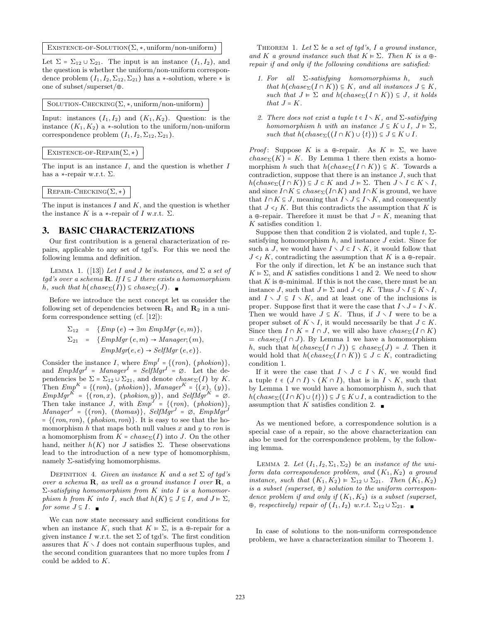EXISTENCE-OF-SOLUTION $(\Sigma, *, \text{uniform}/\text{non-uniform})$ 

Let  $\Sigma = \Sigma_{12} \cup \Sigma_{21}$ . The input is an instance  $(I_1, I_2)$ , and the question is whether the uniform/non-uniform correspondence problem  $(I_1, I_2, \Sigma_{12}, \Sigma_{21})$  has a ∗-solution, where  $*$  is one of subset/superset/⊕.

#### SOLUTION-CHECKING $(\Sigma, *, \text{uniform}/\text{non-uniform})$

Input: instances  $(I_1, I_2)$  and  $(K_1, K_2)$ . Question: is the instance  $(K_1, K_2)$  a  $\ast$ -solution to the uniform/non-uniform correspondence problem  $(I_1, I_2, \Sigma_{12}, \Sigma_{21})$ .

#### EXISTENCE-OF-REPAIR $(\Sigma, *)$

The input is an instance  $I$ , and the question is whether  $I$ has a  $\ast$ -repair w.r.t.  $\Sigma$ .

#### REPAIR-CHECKING $(\Sigma, *)$

The input is instances  $I$  and  $K$ , and the question is whether the instance K is a  $\ast$ -repair of I w.r.t.  $\Sigma$ .

### 3. BASIC CHARACTERIZATIONS

Our first contribution is a general characterization of repairs, applicable to any set of tgd's. For this we need the following lemma and definition.

LEMMA 1. ([13]) Let I and J be instances, and  $\Sigma$  a set of tgd's over a schema  $\mathbf{R}$ . If  $I \subseteq J$  there exists a homomorphism h, such that  $h(\text{chase}_{\Sigma}(I)) \subseteq \text{chase}_{\Sigma}(J)$ . ■

Before we introduce the next concept let us consider the following set of dependencies between  $\mathbf{R}_1$  and  $\mathbf{R}_2$  in a uniform correspondence setting (cf. [12]):

$$
\Sigma_{12} = \{Emp (e) \rightarrow \exists m \ EmpMgr (e, m) \},
$$
  

$$
\Sigma_{21} = \{EmpMgr (e, m) \rightarrow Manager; (m),
$$
  

$$
EmpMgr(e, e) \rightarrow SelfMgr (e, e) \}.
$$

Consider the instance I, where  $Emp^I = \{ (ron), (phokion) \},\$ and  $EmpMgr^I = Manager^I = SelfMgr^I = \emptyset$ . Let the dependencies be  $\Sigma = \Sigma_{12} \cup \Sigma_{21}$ , and denote  $chase_{\Sigma}(I)$  by K. Then  $Emp^K = \{(ron), (phokion)\},$  Manager<sup>K</sup> =  $\{(x), (y)\},$  $EmpMgr^K = \{ (ron, x), (phokion, y) \}, \text{ and } SelfMgr^K = \emptyset.$ Then take instance J, with  $Emp^J = \{(ron), (phokion)\},$  $Manager^J = \{ (ron), (thomas) \}, SelfMgr^J = \emptyset, EmpMgr^J$  $= \{ (ron, r\infty), (phokion, r\infty) \}.$  It is easy to see that the homomorphism  $h$  that maps both null values  $x$  and  $y$  to ron is a homomorphism from  $K = \text{chase}_{\Sigma}(I)$  into J. On the other hand, neither  $h(K)$  nor J satisfies  $\Sigma$ . These observations lead to the introduction of a new type of homomorphism, namely  $\Sigma$ -satisfying homomorphisms.

DEFINITION 4. Given an instance K and a set  $\Sigma$  of tgd's over a schema  $\mathbf R$ , as well as a ground instance I over  $\mathbf R$ , a  $\Sigma$ -satisfying homomorphism from K into I is a homomorphism h from K into I, such that  $h(K) \subseteq J \subseteq I$ , and  $J \models \Sigma$ , *for some J*  $\subseteq$  *I*. ■

We can now state necessary and sufficient conditions for when an instance K, such that  $K \vDash \Sigma$ , is a ⊕-repair for a given instance I w.r.t. the set  $\Sigma$  of tgd's. The first condition assures that  $K \setminus I$  does not contain superfluous tuples, and the second condition guarantees that no more tuples from I could be added to K.

THEOREM 1. Let  $\Sigma$  be a set of tgd's, I a ground instance, and K a ground instance such that  $K \models \Sigma$ . Then K is a  $\oplus$ repair if and only if the following conditions are satisfied:

- 1. For all  $\Sigma$ -satisfying homomorphisms h, such that  $h(chase_{\Sigma}(I \cap K)) \subseteq K$ , and all instances  $J \subseteq K$ , such that  $J \models \Sigma$  and  $h(chase_{\Sigma}(I \cap K)) \subseteq J$ , it holds that  $J = K$ .
- 2. There does not exist a tuple  $t \in I \setminus K$ , and  $\Sigma$ -satisfying homomorphism h with an instance  $J \subseteq K \cup I$ ,  $J \models \Sigma$ , such that  $h(chase_{\Sigma}((I \cap K) \cup \{t\})) \subseteq J \subseteq K \cup I$ .

*Proof:* Suppose K is a ⊕-repair. As  $K \vDash \Sigma$ , we have  $chase_{\Sigma}(K) = K$ . By Lemma 1 there then exists a homomorphism h such that  $h(chase_{\Sigma}(I \cap K)) \subseteq K$ . Towards a contradiction, suppose that there is an instance  $J$ , such that  $h(chase_{\Sigma}(I \cap K)) \subseteq J \subset K$  and  $J \models \Sigma$ . Then  $J \setminus I \subset K \setminus I$ , and since  $I \cap K \subseteq \text{chase}_{\Sigma}(I \cap K)$  and  $I \cap K$  is ground, we have that  $I \cap K \subseteq J$ , meaning that  $I \setminus J \subseteq I \setminus K$ , and consequently that  $J \leq K$ . But this contradicts the assumption that K is a ⊕-repair. Therefore it must be that  $J = K$ , meaning that K satisfies condition 1.

Suppose then that condition 2 is violated, and tuple t,  $\Sigma$ satisfying homomorphism  $h$ , and instance  $J$  exist. Since for such a J, we would have  $I \setminus J \subset I \setminus K$ , it would follow that  $J \leq I$  K, contradicting the assumption that K is a ⊕-repair.

For the only if direction, let  $K$  be an instance such that  $K \models \Sigma$ , and K satisfies conditions 1 and 2. We need to show that  $K$  is  $\oplus$ -minimal. If this is not the case, there must be an instance J, such that  $J \models \Sigma$  and  $J \leq K$ . Thus  $J \setminus I \subseteq K \setminus I$ , and  $I \setminus J \subseteq I \setminus K$ , and at least one of the inclusions is proper. Suppose first that it were the case that  $I \setminus J = I \setminus K$ . Then we would have  $J \subseteq K$ . Thus, if  $J \setminus I$  were to be a proper subset of  $K \setminus I$ , it would necessarily be that  $J \subset K$ . Since then  $I \cap K = I \cap J$ , we will also have  $chase_{\Sigma}(I \cap K)$  $= \text{chase}_{\Sigma}(I \cap J)$ . By Lemma 1 we have a homomorphism h, such that  $h(\text{chase}_{\Sigma}(I \cap J)) \subseteq \text{chase}_{\Sigma}(J) = J$ . Then it would hold that  $h(\text{chase}_{\Sigma}(I \cap K)) \subseteq J \subset K$ , contradicting condition 1.

If it were the case that  $I \setminus J \subset I \setminus K$ , we would find a tuple  $t \in (J \cap I) \setminus (K \cap I)$ , that is in  $I \setminus K$ , such that by Lemma 1 we would have a homomorphism  $h$ , such that  $h(chase_{\Sigma}((I \cap K) \cup \{t\})) \subseteq J \subseteq K \cup I$ , a contradiction to the assumption that K satisfies condition 2. ■

As we mentioned before, a correspondence solution is a special case of a repair, so the above characterization can also be used for the correspondence problem, by the following lemma.

LEMMA 2. Let  $(I_1, I_2, \Sigma_1, \Sigma_2)$  be an instance of the uniform data correspondence problem, and  $(K_1, K_2)$  a ground instance, such that  $(K_1, K_2) \models \Sigma_{12} \cup \Sigma_{21}$ . Then  $(K_1, K_2)$ is a subset (superset,  $\oplus$ ) solution to the uniform correspondence problem if and only if  $(K_1, K_2)$  is a subset (superset,  $\oplus$ , respectively) repair of  $(I_1, I_2)$  w.r.t.  $\Sigma_{12} \cup \Sigma_{21}$ .

In case of solutions to the non-uniform correspondence problem, we have a characterization similar to Theorem 1.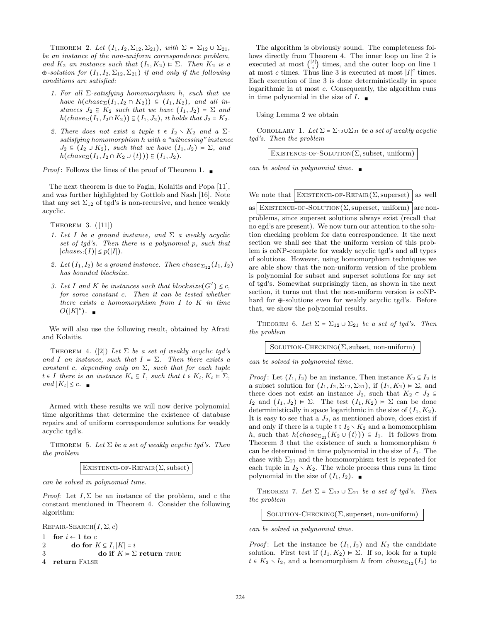THEOREM 2. Let  $(I_1, I_2, \Sigma_{12}, \Sigma_{21})$ , with  $\Sigma = \Sigma_{12} \cup \Sigma_{21}$ , be an instance of the non-uniform correspondence problem, and  $K_2$  an instance such that  $(I_1, K_2) \models \Sigma$ . Then  $K_2$  is a  $\oplus$ -solution for  $(I_1, I_2, \Sigma_{12}, \Sigma_{21})$  if and only if the following conditions are satisfied:

- 1. For all  $\Sigma$ -satisfying homomorphism h, such that we have  $h(chase_{\Sigma}(I_1, I_2 \cap K_2)) \subseteq (I_1, K_2)$ , and all instances  $J_2 \subseteq K_2$  such that we have  $(I_1, J_2) \models \Sigma$  and  $h(chase_{\Sigma}(I_1, I_2 \cap K_2)) \subseteq (I_1, J_2),$  it holds that  $J_2 = K_2$ .
- 2. There does not exist a tuple  $t \in I_2 \setminus K_2$  and a  $\Sigma$ satisfying homomorphism h with a "witnessing" instance  $J_2 \subseteq (I_2 \cup K_2)$ , such that we have  $(I_1, J_2) \models \Sigma$ , and  $h(chase_{\Sigma}(I_1, I_2 \cap K_2 \cup \{t\})) \subseteq (I_1, J_2).$

*Proof*: Follows the lines of the proof of Theorem 1. ■

The next theorem is due to Fagin, Kolaitis and Popa [11], and was further highlighted by Gottlob and Nash [16]. Note that any set  $\Sigma_{12}$  of tgd's is non-recursive, and hence weakly acyclic.

THEOREM 3.  $([11])$ 

- 1. Let I be a ground instance, and  $\Sigma$  a weakly acyclic set of tgd's. Then there is a polynomial p, such that  $|chase_{\Sigma}(I)| \leq p(|I|)$ .
- 2. Let  $(I_1, I_2)$  be a ground instance. Then chase  $\Sigma_{12}(I_1, I_2)$ has bounded blocksize.
- 3. Let I and K be instances such that blocksize( $G^I$ )  $\leq c$ , for some constant c. Then it can be tested whether there exists a homomorphism from  $I$  to  $K$  in time  $O(|K|^c)$ . ■

We will also use the following result, obtained by Afrati and Kolaitis.

THEOREM 4. ([2]) Let  $\Sigma$  be a set of weakly acyclic tqd's and I an instance, such that  $I \vDash \Sigma$ . Then there exists a constant c, depending only on  $\Sigma$ , such that for each tuple  $t \in I$  there is an instance  $K_t \subseteq I$ , such that  $t \in K_t, K_t \models \Sigma$ , and  $|K_t|$  ≤ c. ■

Armed with these results we will now derive polynomial time algorithms that determine the existence of database repairs and of uniform correspondence solutions for weakly acyclic tgd's.

THEOREM 5. Let  $\Sigma$  be a set of weakly acyclic tgd's. Then the problem

| EXISTENCE-OF-REPAIR $(\Sigma,$ subset) |
|----------------------------------------|
|----------------------------------------|

can be solved in polynomial time.

*Proof*: Let  $I, \Sigma$  be an instance of the problem, and c the constant mentioned in Theorem 4. Consider the following algorithm:

```
REPAIR-SEARCH(I, \Sigma, c)1 for i \leftarrow 1 to c
2 do for K \subseteq I, |K| = i3 do if K \models \Sigma return TRUE
```
4 return False

The algorithm is obviously sound. The completeness follows directly from Theorem 4. The inner loop on line 2 is executed at most  $\binom{|I|}{i}$  times, and the outer loop on line 1 at most c times. Thus line 3 is executed at most  $|I|^c$  times. Each execution of line 3 is done deterministically in space logarithmic in at most c. Consequently, the algorithm runs in time polynomial in the size of  $I$ . ■

Using Lemma 2 we obtain

COROLLARY 1. Let  $\Sigma = \Sigma_{12} \cup \Sigma_{21}$  be a set of weakly acyclic tgd's. Then the problem

|  | $\vert$ EXISTENCE-OF-SOLUTION( $\Sigma$ , subset, uniform) |  |  |
|--|------------------------------------------------------------|--|--|
|--|------------------------------------------------------------|--|--|

can be solved in polynomial time. <sup>∎</sup>

We note that  $\big|$  EXISTENCE-OF-REPAIR( $\Sigma$ , superset) as well

as EXISTENCE-OF-SOLUTION( $\Sigma$ , superset, uniform) are nonproblems, since superset solutions always exist (recall that no egd's are present). We now turn our attention to the solution checking problem for data correspondence. It the next section we shall see that the uniform version of this problem is coNP-complete for weakly acyclic tgd's and all types of solutions. However, using homomorphism techniques we are able show that the non-uniform version of the problem is polynomial for subset and superset solutions for any set of tgd's. Somewhat surprisingly then, as shown in the next section, it turns out that the non-uniform version is coNPhard for ⊕-solutions even for weakly acyclic tgd's. Before that, we show the polynomial results.

THEOREM 6. Let  $\Sigma = \Sigma_{12} \cup \Sigma_{21}$  be a set of tgd's. Then the problem

SOLUTION-CHECKING( $\Sigma$ , subset, non-uniform)

can be solved in polynomial time.

*Proof*: Let  $(I_1, I_2)$  be an instance, Then instance  $K_2 \subseteq I_2$  is a subset solution for  $(I_1, I_2, \Sigma_{12}, \Sigma_{21})$ , if  $(I_1, K_2) \models \Sigma$ , and there does not exist an instance  $J_2$ , such that  $K_2 \subset J_2 \subseteq$ I<sub>2</sub> and  $(I_1, J_2) \models \Sigma$ . The test  $(I_1, K_2) \models \Sigma$  can be done deterministically in space logarithmic in the size of  $(I_1, K_2)$ . It is easy to see that a  $J_2$ , as mentioned above, does exist if and only if there is a tuple  $t \in I_2 \setminus K_2$  and a homomorphism h, such that  $h(chase_{\Sigma_{21}}(K_2 \cup \{t\})) \subseteq I_1$ . It follows from Theorem 3 that the existence of such a homomorphism  $h$ can be determined in time polynomial in the size of  $I_1$ . The chase with  $\Sigma_{21}$  and the homomorphism test is repeated for each tuple in  $I_2 \setminus K_2$ . The whole process thus runs in time polynomial in the size of  $(I_1, I_2)$ . ■

THEOREM 7. Let  $\Sigma = \Sigma_{12} \cup \Sigma_{21}$  be a set of tgd's. Then the problem

SOLUTION-CHECKING( $\Sigma$ , superset, non-uniform)

can be solved in polynomial time.

*Proof*: Let the instance be  $(I_1, I_2)$  and  $K_2$  the candidate solution. First test if  $(I_1, K_2) \models \Sigma$ . If so, look for a tuple  $t \in K_2 \setminus I_2$ , and a homomorphism h from  $chase_{\Sigma_{12}}(I_1)$  to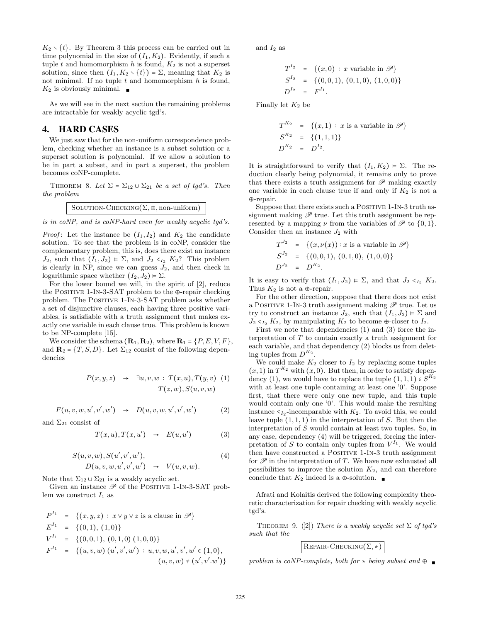$K_2 \setminus \{t\}$ . By Theorem 3 this process can be carried out in time polynomial in the size of  $(I_1, K_2)$ . Evidently, if such a tuple t and homomorphism h is found,  $K_2$  is not a superset solution, since then  $(I_1, K_2 \setminus \{t\}) \models \Sigma$ , meaning that  $K_2$  is not minimal. If no tuple  $t$  and homomorphism  $h$  is found,  $K_2$  is obviously minimal. ■

As we will see in the next section the remaining problems are intractable for weakly acyclic tgd's.

# 4. HARD CASES

We just saw that for the non-uniform correspondence problem, checking whether an instance is a subset solution or a superset solution is polynomial. If we allow a solution to be in part a subset, and in part a superset, the problem becomes coNP-complete.

THEOREM 8. Let  $\Sigma = \Sigma_{12} \cup \Sigma_{21}$  be a set of tgd's. Then the problem

is in coNP, and is coNP-hard even for weakly acyclic tgd's.

*Proof*: Let the instance be  $(I_1, I_2)$  and  $K_2$  the candidate solution. To see that the problem is in coNP, consider the complementary problem, this is, does there exist an instance  $J_2$ , such that  $(I_1, J_2) \models \Sigma$ , and  $J_2 \lt_{I_2} K_2$ ? This problem is clearly in NP, since we can guess  $J_2$ , and then check in logarithmic space whether  $(I_2, J_2) \models \Sigma$ .

For the lower bound we will, in the spirit of [2], reduce the POSITIVE 1-IN-3-SAT problem to the  $\oplus$ -repair checking problem. The POSITIVE 1-IN-3-SAT problem asks whether a set of disjunctive clauses, each having three positive variables, is satisfiable with a truth assignment that makes exactly one variable in each clause true. This problem is known to be NP-complete [15].

We consider the schema  $(\mathbf{R}_1, \mathbf{R}_2)$ , where  $\mathbf{R}_1 = \{P, E, V, F\}$ , and  $\mathbf{R}_2 = \{T, S, D\}$ . Let  $\Sigma_{12}$  consist of the following dependencies

$$
P(x, y, z) \rightarrow \exists u, v, w : T(x, u), T(y, v) \quad (1)
$$

$$
T(z, w), S(u, v, w)
$$

$$
F(u, v, w, u', v', w') \rightarrow D(u, v, w, u', v', w') \tag{2}
$$

and  $\Sigma_{21}$  consist of

$$
T(x, u), T(x, u') \rightarrow E(u, u') \tag{3}
$$

$$
S(u, v, w), S(u', v', w'),D(u, v, w, u', v', w') \rightarrow V(u, v, w).
$$
\n(4)

Note that  $\Sigma_{12} \cup \Sigma_{21}$  is a weakly acyclic set.

Given an instance  $\mathscr P$  of the POSITIVE 1-IN-3-SAT problem we construct  $I_1$  as

$$
P^{I_1} = \{(x, y, z) : x \vee y \vee z \text{ is a clause in } \mathcal{P}\}\
$$
  
\n
$$
E^{I_1} = \{(0, 1), (1, 0)\}\
$$
  
\n
$$
V^{I_1} = \{(0, 0, 1), (0, 1, 0), (1, 0, 0)\}\
$$
  
\n
$$
F^{I_1} = \{(u, v, w) (u', v', w') : u, v, w, u', v', w' \in \{1, 0\}, (u, v, w) \neq (u', v', w')\}\
$$

and  $I_2$  as

$$
T^{I_2} = \{(x,0) : x \text{ variable in } \mathcal{P}\}\
$$

$$
S^{I_2} = \{(0,0,1), (0,1,0), (1,0,0)\}\
$$

$$
D^{I_2} = F^{I_1}.
$$

Finally let  $K_2$  be

$$
T^{K_2} = \{(x,1) : x \text{ is a variable in } \mathcal{P}\}\
$$
  

$$
S^{K_2} = \{(1,1,1)\}\
$$
  

$$
D^{K_2} = D^{I_2}.
$$

It is straightforward to verify that  $(I_1, K_2) \models \Sigma$ . The reduction clearly being polynomial, it remains only to prove that there exists a truth assignment for  $\mathscr P$  making exactly one variable in each clause true if and only if  $K_2$  is not a ⊕-repair.

Suppose that there exists such a POSITIVE 1-IN-3 truth assignment making  $\mathscr P$  true. Let this truth assignment be represented by a mapping  $\nu$  from the variables of  $\mathscr P$  to  $\{0,1\}$ . Consider then an instance  $J_2$  with

$$
T^{J_2} = \{(x, \nu(x)) : x \text{ is a variable in } \mathcal{P}\}\
$$
  

$$
S^{J_2} = \{(0, 0, 1), (0, 1, 0), (1, 0, 0)\}\
$$
  

$$
D^{J_2} = D^{K_2}.
$$

It is easy to verify that  $(I_1, J_2) \models \Sigma$ , and that  $J_2 <_{I_2} K_2$ . Thus  $K_2$  is not a ⊕-repair.

For the other direction, suppose that there does not exist a POSITIVE 1-IN-3 truth assignment making  $\mathscr P$  true. Let us try to construct an instance  $J_2$ , such that  $(I_1, J_2) \vDash \Sigma$  and  $J_2 \lt_{I_2} K_2$ , by manipulating  $K_2$  to become ⊕-closer to  $I_2$ .

First we note that dependencies (1) and (3) force the interpretation of T to contain exactly a truth assignment for each variable, and that dependency (2) blocks us from deleting tuples from  $D^{K_2}$ .

We could make  $K_2$  closer to  $I_2$  by replacing some tuples  $(x, 1)$  in  $T^{K_2}$  with  $(x, 0)$ . But then, in order to satisfy dependency (1), we would have to replace the tuple  $(1,1,1) \in S^{K_2}$ with at least one tuple containing at least one '0'. Suppose first, that there were only one new tuple, and this tuple would contain only one '0'. This would make the resulting instance  $\leq_{I_2}$ -incomparable with  $K_2$ . To avoid this, we could leave tuple  $(1,1,1)$  in the interpretation of S. But then the interpretation of S would contain at least two tuples. So, in any case, dependency (4) will be triggered, forcing the interpretation of S to contain only tuples from  $V^{I_1}$ . We would then have constructed a POSITIVE 1-IN-3 truth assignment for  $\mathscr P$  in the interpretation of T. We have now exhausted all possibilities to improve the solution  $K_2$ , and can therefore conclude that  $K_2$  indeed is a ⊕-solution. ■

Afrati and Kolaitis derived the following complexity theoretic characterization for repair checking with weakly acyclic tgd's.

THEOREM 9. ([2]) There is a weakly acyclic set  $\Sigma$  of tgd's such that the

Repair-Checking(Σ, ∗)

problem is coNP-complete, both for  $\ast$  being subset and  $\oplus$  ■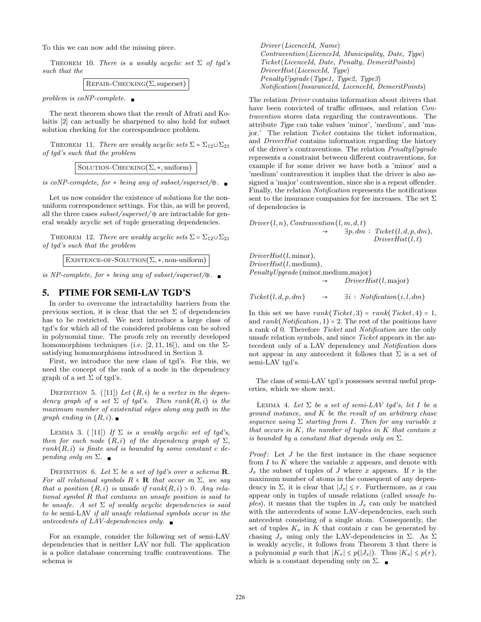To this we can now add the missing piece.

THEOREM 10. There is a weakly acyclic set  $\Sigma$  of tgd's such that the

```
Repair-Checking(Σ, superset)
```
problem is coNP-complete. <sup>∎</sup>

The next theorem shows that the result of Afrati and Kolaitis [2] can actually be sharpened to also hold for subset solution checking for the correspondence problem.

THEOREM 11. There are weakly acyclic sets  $\Sigma = \Sigma_{12} \cup \Sigma_{21}$ of tgd's such that the problem

SOLUTION-CHECKING $(\Sigma, *, \text{uniform})$ 

is coNP-complete, for  $\ast$  being any of subset/superset/⊕. ■

Let us now consider the existence of solutions for the nonuniform correspondence settings. For this, as will be proved, all the three cases subset/superset/ $\oplus$  are intractable for general weakly acyclic set of tuple generating dependencies.

THEOREM 12. There are weakly acyclic sets  $\Sigma = \Sigma_{12} \cup \Sigma_{21}$ of tgd's such that the problem

```
EXISTENCE-OF-SOLUTION(\Sigma, *, \text{non-uniform})
```
is NP-complete, for ∗ being any of subset/superset/⊕. <sup>∎</sup>

### 5. PTIME FOR SEMI-LAV TGD'S

In order to overcome the intractability barriers from the previous section, it is clear that the set  $\Sigma$  of dependencies has to be restricted. We next introduce a large class of tgd's for which all of the considered problems can be solved in polynomial time. The proofs rely on recently developed homomorphism techniques (i.e. [2, 11, 16]), and on the  $\Sigma$ satisfying homomorphisms introduced in Section 3.

First, we introduce the new class of tgd's. For this, we need the concept of the rank of a node in the dependency graph of a set  $\Sigma$  of tgd's.

DEFINITION 5. ([11]) Let  $(R, i)$  be a vertex in the dependency graph of a set  $\Sigma$  of tgd's. Then rank $(R, i)$  is the maximum number of existential edges along any path in the graph ending in  $(R, i)$ .

LEMMA 3. ([11]) If  $\Sigma$  is a weakly acyclic set of tgd's, then for each node  $(R, i)$  of the dependency graph of  $\Sigma$ ,  $rank(R, i)$  is finite and is bounded by some constant c de*pending only on*  $\Sigma$ . ■

DEFINITION 6. Let  $\Sigma$  be a set of tgd's over a schema **R**. For all relational symbols  $R \in \mathbf{R}$  that occur in  $\Sigma$ , we say that a position  $(R, i)$  is unsafe if  $rank(R, i) > 0$ . Any relational symbol R that contains an unsafe position is said to be unsafe. A set  $\Sigma$  of weakly acyclic dependencies is said to be semi-LAV if all unsafe relational symbols occur in the antecedents of LAV-dependencies only.  $\blacksquare$ 

For an example, consider the following set of semi-LAV dependencies that is neither LAV nor full. The application is a police database concerning traffic contraventions. The schema is

Driver (LicenceId, Name) Contravention (LicenceId, Municipality, Date, Type) Ticket (LicenceId, Date, Penalty, DemeritPoints) DriverHist (LicenceId, Type) PenaltyUpgrade (Type1, Type2, Type3) Notification (InsuranceId, LicenceId, DemeritPoints)

The relation Driver contains information about drivers that have been convicted of traffic offenses, and relation Contravention stores data regarding the contraventions. The attribute Type can take values 'minor', 'medium', and 'major.' The relation Ticket contains the ticket information, and DriverHist contains information regarding the history of the driver's contraventions. The relation PenaltyUpgrade represents a constraint between different contraventions, for example if for some driver we have both a 'minor' and a 'medium' contravention it implies that the driver is also assigned a 'major' contravention, since she is a repeat offender. Finally, the relation Notification represents the notifications sent to the insurance companies for fee increases. The set  $\Sigma$ of dependencies is

$$
Driver(l, n), Contravention(l, m, d, t)
$$
  
\n
$$
\rightarrow \qquad \qquad \exists p, dm : Ticket(l, d, p, dm),
$$
  
\n
$$
DriverHist(l, t)
$$

 $DirectHist(l, minor),$  $DirectHist(l, medium),$ PenaltyUpgrade (minor,medium,major)  $DirectHist(l, major)$ 

 $Ticket (l, d, p, dm) \rightarrow \exists i : \text{Notification}(i, l, dm)$ 

In this set we have rank(Ticket, 3) = rank(Ticket, 4) = 1, and  $rank(Notification, 1) = 2$ . The rest of the positions have a rank of 0. Therefore Ticket and Notification are the only unsafe relation symbols, and since Ticket appears in the antecedent only of a LAV dependency and Notification does not appear in any antecedent it follows that  $\Sigma$  is a set of semi-LAV tgd's.

The class of semi-LAV tgd's possesses several useful properties, which we show next.

LEMMA 4. Let  $\Sigma$  be a set of semi-LAV tgd's, let I be a ground instance, and  $K$  be the result of an arbitrary chase sequence using  $\Sigma$  starting from I. Then for any variable x that occurs in  $K$ , the number of tuples in  $K$  that contain  $x$ is bounded by a constant that depends only on  $\Sigma$ .

*Proof*: Let  $J$  be the first instance in the chase sequence from  $I$  to  $K$  where the variable  $x$  appears, and denote with  $J_x$  the subset of tuples of J where x appears. If r is the maximum number of atoms in the consequent of any dependency in  $\Sigma$ , it is clear that  $|J_x| \leq r$ . Furthermore, as x can appear only in tuples of unsafe relations (called unsafe tuples), it means that the tuples in  $J_x$  can only be matched with the antecedents of some LAV-dependencies, each such antecedent consisting of a single atom. Consequently, the set of tuples  $K_x$  in K that contain x can be generated by chasing  $J_x$  using only the LAV-dependencies in  $\Sigma$ . As  $\Sigma$ is weakly acyclic, it follows from Theorem 3 that there is a polynomial p such that  $|K_x| \leq p(|J_x|)$ . Thus  $|K_x| \leq p(r)$ , which is a constant depending only on  $\Sigma$ .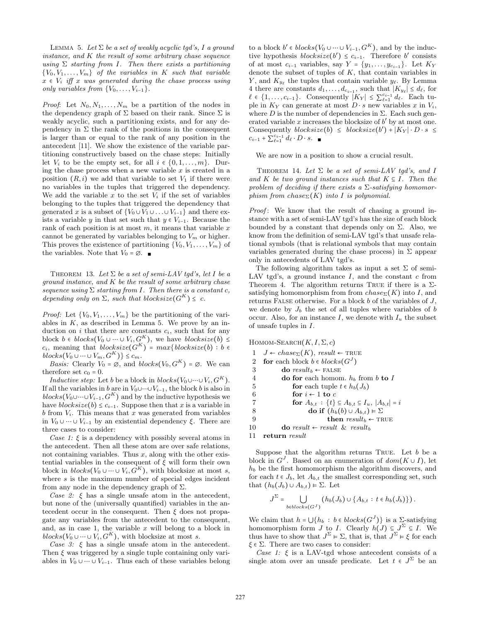LEMMA 5. Let  $\Sigma$  be a set of weakly acyclic tgd's, I a ground instance, and  $K$  the result of some arbitrary chase sequence using  $\Sigma$  starting from I. Then there exists a partitioning  ${V_0, V_1, \ldots, V_m}$  of the variables in K such that variable  $x \in V_i$  iff x was generated during the chase process using only variables from  $\{V_0, \ldots, V_{i-1}\}.$ 

*Proof*: Let  $N_0, N_1, \ldots, N_m$  be a partition of the nodes in the dependency graph of  $\Sigma$  based on their rank. Since  $\Sigma$  is weakly acyclic, such a partitioning exists, and for any dependency in  $\Sigma$  the rank of the positions in the consequent is larger than or equal to the rank of any position in the antecedent [11]. We show the existence of the variable partitioning constructively based on the chase steps: Initially let  $V_i$  to be the empty set, for all  $i \in \{0, 1, \ldots, m\}$ . During the chase process when a new variable  $x$  is created in a position  $(R, i)$  we add that variable to set  $V_1$  if there were no variables in the tuples that triggered the dependency. We add the variable  $x$  to the set  $V_i$  if the set of variables belonging to the tuples that triggered the dependency that generated x is a subset of  $\{V_0 \cup V_1 \cup \ldots \cup V_{i-1}\}\$  and there exists a variable y in that set such that  $y \in V_{i-1}$ . Because the rank of each position is at most  $m$ , it means that variable  $x$ cannot be generated by variables belonging to  $V_m$  or higher. This proves the existence of partitioning  $\{V_0, V_1, \ldots, V_m\}$  of the variables. Note that  $V_0 = \emptyset$ .

THEOREM 13. Let  $\Sigma$  be a set of semi-LAV tgd's, let I be a  $ground\ instance, and K be the result of some arbitrary\ phase$ sequence using  $\Sigma$  starting from I. Then there is a constant c, depending only on  $\Sigma$ , such that blocksize( $G^K$ )  $\leq c$ .

*Proof:* Let  $\{V_0, V_1, \ldots, V_m\}$  be the partitioning of the variables in  $K$ , as described in Lemma 5. We prove by an induction on  $i$  that there are constants  $c_i$ , such that for any block  $b \in blocks(V_0 \cup \dots \cup V_i, G^K)$ , we have  $blocksize(b)$  $c_i$ , meaning that  $blocksize(G^K) = max\{blocksize(b) : b \in$  $blocks(V_0 \cup \cdots \cup V_m, G^K) \leq c_m.$ 

*Basis:* Clearly  $V_0 = \emptyset$ , and  $blocks(V_0, G^K) = \emptyset$ . We can therefore set  $c_0 = 0$ .

*Inductive step:* Let b be a block in  $blocks(V_0 \cup \cdots \cup V_i, G^K)$ . If all the variables in  $b$  are in  $V_0\cup\dots\cup V_{i-1},$  the block  $b$  is also in  $blocks(V_0 \cup \cdots \cup V_{i-1}, G^K)$  and by the inductive hypothesis we have  $blocksize(b) \leq c_{i-1}$ . Suppose then that x is a variable in  $b$  from  $V_i$ . This means that x was generated from variables in  $V_0 \cup \cdots \cup V_{i-1}$  by an existential dependency  $\xi$ . There are three cases to consider:

Case 1:  $\xi$  is a dependency with possibly several atoms in the antecedent. Then all these atom are over safe relations, not containing variables. Thus  $x$ , along with the other existential variables in the consequent of  $\xi$  will form their own block in  $blocks(V_0 \cup \dots \cup V_i, \tilde{G}^K)$ , with blocksize at most s, where s is the maximum number of special edges incident from any node in the dependency graph of  $\Sigma$ .

Case 2:  $\xi$  has a single unsafe atom in the antecedent, but none of the (universally quantified) variables in the antecedent occur in the consequent. Then  $\xi$  does not propagate any variables from the antecedent to the consequent, and, as in case 1, the variable  $x$  will belong to a block in  $blocks(V_0\cup\cdots\cup V_i,G^K)$ , with blocksize at most s.

Case 3:  $\xi$  has a single unsafe atom in the antecedent. Then  $\xi$  was triggered by a single tuple containing only variables in  $V_0 \cup \cdots \cup V_{i-1}$ . Thus each of these variables belong

to a block  $b' \in blocks(V_0 \cup \dots \cup V_{i-1}, G^K)$ , and by the inductive hypothesis  $blocksize(b') \leq c_{i-1}$ . Therefore b' consists of at most  $c_{i-1}$  variables, say  $Y = \{y_1, \ldots, y_{c_{i-1}}\}$ . Let  $K_Y$ denote the subset of tuples of  $K$ , that contain variables in Y, and  $K_{y_\ell}$  the tuples that contain variable  $y_\ell$ . By Lemma 4 there are constants  $d_1, \ldots, d_{c_{i-1}}$ , such that  $|K_{y_\ell}| \leq d_\ell$ , for  $\ell \in \{1, \ldots, c_{i-1}\}.$  Consequently  $|K_Y| \leq \sum_{\ell=1}^{c_{i-1}} d_{\ell}$ . Each tuple in  $K_Y$  can generate at most  $D \cdot s$  new variables x in  $V_i$ , where D is the number of dependencies in  $\Sigma$ . Each such generated variable  $x$  increases the blocksize of  $b'$  by at most one. Consequently  $blocksize(b) \leq blocksize(b') + |K_Y| \cdot D \cdot s \leq$  $c_{i-1} + \sum_{\ell=1}^{c_{i-1}} d_{\ell} \cdot D \cdot s.$ 

We are now in a position to show a crucial result.

THEOREM 14. Let  $\Sigma$  be a set of semi-LAV tgd's, and I and K be two ground instances such that  $K \subseteq I$ . Then the problem of deciding if there exists a  $\Sigma$ -satisfying homomorphism from chase $\Sigma(K)$  into I is polynomial.

Proof: We know that the result of chasing a ground instance with a set of semi-LAV tgd's has the size of each block bounded by a constant that depends only on  $\Sigma$ . Also, we know from the definition of semi-LAV tgd's that unsafe relational symbols (that is relational symbols that may contain variables generated during the chase process) in  $\Sigma$  appear only in antecedents of LAV tgd's.

The following algorithm takes as input a set  $\Sigma$  of semi-LAV tgd's, a ground instance  $I$ , and the constant  $c$  from Theorem 4. The algorithm returns True if there is a  $\Sigma$ satisfying homomorphism from from  $chase_\Sigma(K)$  into I, and returns FALSE otherwise. For a block b of the variables of J, we denote by  $J<sub>b</sub>$  the set of all tuples where variables of b occur. Also, for an instance I, we denote with  $I_u$  the subset of unsafe tuples in I.

HOMOM-SEARCH $(K, I, \Sigma, c)$ 

|                | $1 \quad J \leftarrow \text{chase}_{\Sigma}(K), \text{ result} \leftarrow \text{TRUE}$ |
|----------------|----------------------------------------------------------------------------------------|
| $\overline{2}$ | for each block $b \in blocks(G^J)$                                                     |
| 3              | do $result_b \leftarrow FALSE$                                                         |
| $\overline{4}$ | <b>do for</b> each homom. $h_b$ from b to I                                            |
| 5              | for each tuple $t \in h_b(J_b)$                                                        |
| 6              | for $i \leftarrow 1$ to c                                                              |
| $\overline{7}$ | for $A_{b,t}$ : $\{t\} \subseteq A_{b,t} \subseteq I_u$ , $ A_{b,t}  = i$              |
| 8              | do if $(h_b(b) \cup A_{b,t}) \models \Sigma$                                           |
| 9              | <b>then</b> $result_b \leftarrow TRUE$                                                 |
| 10             | $\bf{do}$ result $\leftarrow$ result & result.                                         |
| 11             | return result                                                                          |

Suppose that the algorithm returns TRUE. Let  $b$  be a block in  $G<sup>J</sup>$ . Based on an enumeration of  $dom(K \cup I)$ , let  $h_b$  be the first homomorphism the algorithm discovers, and for each  $t \in J_b$ , let  $A_{b,t}$  the smallest corresponding set, such that  $(h_b(J_b) \cup A_{b,t}) \models \Sigma$ . Let

$$
J^{\Sigma} = \bigcup_{b \in blocks(G^J)} (h_b(J_b) \cup \{A_{b,t} : t \in h_b(J_b)\}) .
$$

We claim that  $h = \bigcup \{ h_b : b \in blocks(G^J) \}$  is a  $\Sigma$ -satisfying homomorphism form *J* to *I*. Clearly  $h(J) \subseteq J^{\Sigma} \subseteq I$ . We thus have to show that  $J^{\Sigma} \models \Sigma$ , that is, that  $J^{\Sigma} \models \xi$  for each  $\xi \in \Sigma$ . There are two cases to consider:

Case 1:  $\xi$  is a LAV-tgd whose antecedent consists of a single atom over an unsafe predicate. Let  $t \in J^{\Sigma}$  be an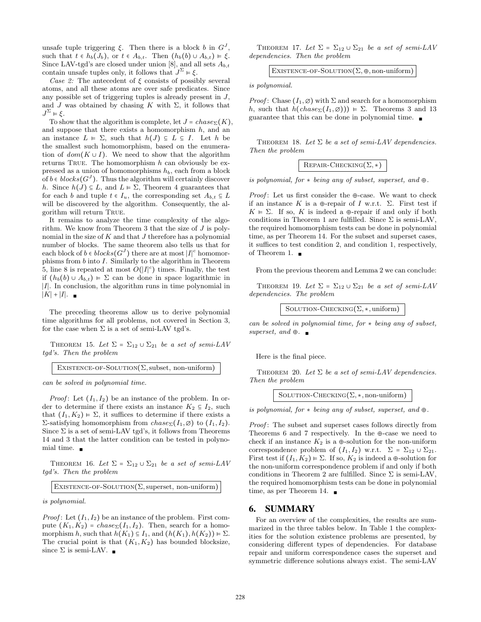unsafe tuple triggering  $\xi$ . Then there is a block b in  $G^J$ , such that  $t \in h_b(J_b)$ , or  $t \in A_{b,t}$ . Then  $(h_b(b) \cup A_{b,t}) \models \xi$ . Since LAV-tgd's are closed under union [8], and all sets  $A_{b,t}$ contain unsafe tuples only, it follows that  $J^{\Sigma} \models \xi$ .

Case 2: The antecedent of  $\xi$  consists of possibly several atoms, and all these atoms are over safe predicates. Since any possible set of triggering tuples is already present in J, and J was obtained by chasing K with  $\Sigma$ , it follows that  $J^{\Sigma} \models \xi.$ 

To show that the algorithm is complete, let  $J = \text{chase}_\Sigma(K)$ , and suppose that there exists a homomorphism  $h$ , and an an instance  $L \in \Sigma$ , such that  $h(J) \subseteq L \subseteq I$ . Let h be the smallest such homomorphism, based on the enumeration of  $dom(K \cup I)$ . We need to show that the algorithm returns TRUE. The homomorphism  $h$  can obviously be expressed as a union of homomorphisms  $h_b$ , each from a block of  $b \in blocks(G^J)$ . Thus the algorithm will certainly discover h. Since  $h(J) \subseteq L$ , and  $L \models \Sigma$ , Theorem 4 guarantees that for each b and tuple  $t \in I_u$ , the corresponding set  $A_{b,t} \subseteq L$ will be discovered by the algorithm. Consequently, the algorithm will return True.

It remains to analyze the time complexity of the algorithm. We know from Theorem 3 that the size of J is polynomial in the size of  $K$  and that  $J$  therefore has a polynomial number of blocks. The same theorem also tells us that for each block of  $b \in blocks(G^J)$  there are at most  $|I|^c$  homomorphisms from  $b$  into  $I$ . Similarly to the algorithm in Theorem 5, line 8 is repeated at most  $O(|I|^c)$  times. Finally, the test if  $(h_b(b) \cup A_{b,t}) \models \Sigma$  can be done in space logarithmic in ∣I∣. In conclusion, the algorithm runs in time polynomial in  $|K| + |I|.$  ■

The preceding theorems allow us to derive polynomial time algorithms for all problems, not covered in Section 3, for the case when  $\Sigma$  is a set of semi-LAV tgd's.

THEOREM 15. Let  $\Sigma = \Sigma_{12} \cup \Sigma_{21}$  be a set of semi-LAV tgd's. Then the problem

EXISTENCE-OF-SOLUTION $(\Sigma, \text{subset}, \text{non-uniform})$ 

can be solved in polynomial time.

*Proof*: Let  $(I_1, I_2)$  be an instance of the problem. In order to determine if there exists an instance  $K_2 \subseteq I_2$ , such that  $(I_1, K_2) \models \Sigma$ , it suffices to determine if there exists a Σ-satisfying homomorphism from  $chase_{\Sigma}(I_1, \emptyset)$  to  $(I_1, I_2)$ . Since  $\Sigma$  is a set of semi-LAV tgd's, it follows from Theorems 14 and 3 that the latter condition can be tested in polynomial time. <sup>∎</sup>

THEOREM 16. Let  $\Sigma = \Sigma_{12} \cup \Sigma_{21}$  be a set of semi-LAV tgd's. Then the problem

EXISTENCE-OF-SOLUTION $(\Sigma,$  superset, non-uniform)

is polynomial.

*Proof*: Let  $(I_1, I_2)$  be an instance of the problem. First compute  $(K_1, K_2)$  = chase<sub>Σ</sub> $(I_1, I_2)$ . Then, search for a homomorphism h, such that  $h(K_1) \subseteq I_1$ , and  $(h(K_1), h(K_2)) \models \Sigma$ . The crucial point is that  $(K_1, K_2)$  has bounded blocksize, since  $\Sigma$  is semi-LAV.  $\blacksquare$ 

THEOREM 17. Let  $\Sigma = \Sigma_{12} \cup \Sigma_{21}$  be a set of semi-LAV dependencies. Then the problem

EXISTENCE-OF-SOLUTION $(\Sigma, \oplus, \text{non-uniform})$ 

is polynomial.

*Proof*: Chase  $(I_1, \emptyset)$  with  $\Sigma$  and search for a homomorphism h, such that  $h(\text{chase}_{\Sigma}(I_1, \emptyset)) \models \Sigma$ . Theorems 3 and 13 guarantee that this can be done in polynomial time. <sup>∎</sup>

THEOREM 18. Let  $\Sigma$  be a set of semi-LAV dependencies. Then the problem

is polynomial, for ∗ being any of subset, superset, and ⊕.

*Proof*: Let us first consider the ⊕-case. We want to check if an instance K is a ⊕-repair of I w.r.t.  $\Sigma$ . First test if  $K \models \Sigma$ . If so, K is indeed a ⊕-repair if and only if both conditions in Theorem 1 are fulfilled. Since  $\Sigma$  is semi-LAV, the required homomorphism tests can be done in polynomial time, as per Theorem 14. For the subset and superset cases, it suffices to test condition 2, and condition 1, respectively, of Theorem 1. <sup>∎</sup>

From the previous theorem and Lemma 2 we can conclude:

THEOREM 19. Let  $\Sigma = \Sigma_{12} \cup \Sigma_{21}$  be a set of semi-LAV dependencies. The problem

SOLUTION-CHECKING(Σ, \*, uniform)

can be solved in polynomial time, for  $\ast$  being any of subset, superset, and ⊕.  $\blacksquare$ 

Here is the final piece.

THEOREM 20. Let  $\Sigma$  be a set of semi-LAV dependencies. Then the problem

SOLUTION-CHECKING(Σ, \*, non-uniform)

is polynomial, for ∗ being any of subset, superset, and ⊕.

*Proof*: The subset and superset cases follows directly from Theorems 6 and 7 respectively. In the ⊕-case we need to check if an instance  $K_2$  is a ⊕-solution for the non-uniform correspondence problem of  $(I_1, I_2)$  w.r.t.  $\Sigma = \Sigma_{12} \cup \Sigma_{21}$ . First test if  $(I_1, K_2) \models \Sigma$ . If so,  $K_2$  is indeed a  $\oplus$ -solution for the non-uniform correspondence problem if and only if both conditions in Theorem 2 are fulfilled. Since  $\Sigma$  is semi-LAV, the required homomorphism tests can be done in polynomial time, as per Theorem 14. <sup>∎</sup>

### 6. SUMMARY

For an overview of the complexities, the results are summarized in the three tables below. In Table 1 the complexities for the solution existence problems are presented, by considering different types of dependencies. For database repair and uniform correspondence cases the superset and symmetric difference solutions always exist. The semi-LAV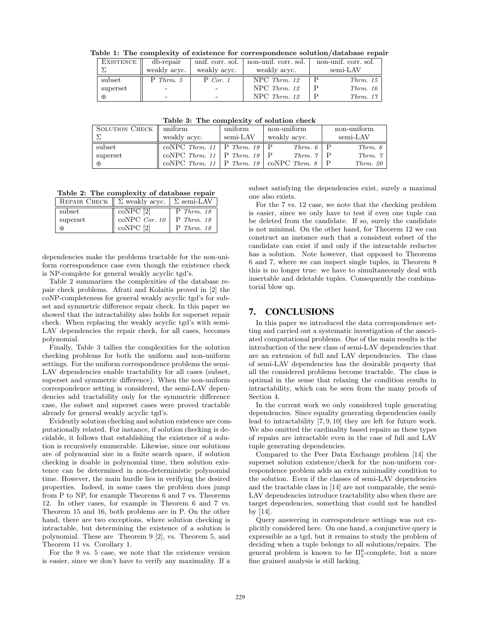Table 1: The complexity of existence for correspondence solution/database repair

| EXISTENCE | db-repair                | unif. corr. sol. | non-unif. corr. sol. | non-unif. corr. sol. |
|-----------|--------------------------|------------------|----------------------|----------------------|
|           | weakly acyc.             | weakly acyc.     | weakly acyc.         | semi-LAV             |
| subset    | $P$ Thrm. 5              | $P\ Cor. 1$      | NPC Thrm. 12         | Thrm. 15             |
| superset  |                          |                  | NPC Thrm. 12         | Thrm. 16             |
| $\oplus$  | $\overline{\phantom{0}}$ | -                | NPCThrm. 12          | Thrm. 17             |

|  |  | Table 3: The complexity of solution check |  |  |  |
|--|--|-------------------------------------------|--|--|--|
|--|--|-------------------------------------------|--|--|--|

|          | SOLUTION CHECK   uniform<br>uniform<br>non-uniform        |          | non-uniform      |          |
|----------|-----------------------------------------------------------|----------|------------------|----------|
|          | weakly acyc.                                              | semi-LAV | weakly acyc.     | semi-LAV |
| subset   | $\log_{10}$ coNPC <i>Thrm.</i> 11   P <i>Thrm.</i> 19   P |          | Thrm. $6 \mid P$ | Thrm. 6  |
| superset | $\parallel$ coNPC Thrm. 11   P Thrm. 19   P               |          | Thrm. $7 \mid$   | Thrm. 7  |
| $\oplus$ | coNPC Thrm. 11   P Thrm. 19   coNPC Thrm. 8               |          |                  | Thrm. 20 |

Table 2: The complexity of database repair

|          | REPAIR CHECK $\parallel \Sigma$ weakly acyc. $\parallel \Sigma$ semi-LAV |              |  |
|----------|--------------------------------------------------------------------------|--------------|--|
| subset   | $coNPC$ [2]                                                              | $P$ Thrm. 18 |  |
| superset | $\parallel$ coNPC Cor. 10                                                | $P$ Thrm. 18 |  |
| ⊕        | $^{\prime}$ coNPC [2]                                                    | $P$ Thrm. 18 |  |

dependencies make the problems tractable for the non-uniform correspondence case even though the existence check is NP-complete for general weakly acyclic tgd's.

Table 2 summarizes the complexities of the database repair check problems. Afrati and Kolaitis proved in [2] the coNP-completeness for general weakly acyclic tgd's for subset and symmetric difference repair check. In this paper we showed that the intractability also holds for superset repair check. When replacing the weakly acyclic tgd's with semi-LAV dependencies the repair check, for all cases, becomes polynomial.

Finally, Table 3 tallies the complexities for the solution checking problems for both the uniform and non-uniform settings. For the uniform correspondence problems the semi-LAV dependencies enable tractability for all cases (subset, superset and symmetric difference). When the non-uniform correspondence setting is considered, the semi-LAV dependencies add tractability only for the symmetric difference case, the subset and superset cases were proved tractable already for general weakly acyclic tgd's.

Evidently solution checking and solution existence are computationally related. For instance, if solution checking is decidable, it follows that establishing the existence of a solution is recursively enumerable. Likewise, since our solutions are of polynomial size in a finite search space, if solution checking is doable in polynomial time, then solution existence can be determined in non-deterministic polynomial time. However, the main hurdle lies in verifying the desired properties. Indeed, in some cases the problem does jump from P to NP, for example Theorems 6 and 7 vs. Theorems 12. In other cases, for example in Theorem 6 and 7 vs. Theorem 15 and 16, both problems are in P. On the other hand, there are two exceptions, where solution checking is intractable, but determining the existence of a solution is polynomial. These are Theorem 9 [2], vs. Theorem 5, and Theorem 11 vs. Corollary 1.

For the 9 vs. 5 case, we note that the existence version is easier, since we don't have to verify any maximality. If a subset satisfying the dependencies exist, surely a maximal one also exists.

For the 7 vs. 12 case, we note that the checking problem is easier, since we only have to test if even one tuple can be deleted from the candidate. If so, surely the candidate is not minimal. On the other hand, for Theorem 12 we can construct an instance such that a consistent subset of the candidate can exist if and only if the intractable reductee has a solution. Note however, that opposed to Theorems 6 and 7, where we can inspect single tuples, in Theorem 8 this is no longer true: we have to simultaneously deal with insertable and deletable tuples. Consequently the combinatorial blow up.

# 7. CONCLUSIONS

In this paper we introduced the data correspondence setting and carried out a systematic investigation of the associated computational problems. One of the main results is the introduction of the new class of semi-LAV dependencies that are an extension of full and LAV dependencies. The class of semi-LAV dependencies has the desirable property that all the considered problems become tractable. The class is optimal in the sense that relaxing the condition results in intractability, which can be seen from the many proofs of Section 4.

In the current work we only considered tuple generating dependencies. Since equality generating dependencies easily lead to intractability [7, 9, 10] they are left for future work. We also omitted the cardinality based repairs as these types of repairs are intractable even in the case of full and LAV tuple generating dependencies.

Compared to the Peer Data Exchange problem [14] the superset solution existence/check for the non-uniform correspondence problem adds an extra minimality condition to the solution. Even if the classes of semi-LAV dependencies and the tractable class in [14] are not comparable, the semi-LAV dependencies introduce tractability also when there are target dependencies, something that could not be handled by [14].

Query answering in correspondence settings was not explicitly considered here. On one hand, a conjunctive query is expressible as a tgd, but it remains to study the problem of deciding when a tuple belongs to all solutions/repairs. The general problem is known to be  $\Pi_2^p$ -complete, but a more fine grained analysis is still lacking.